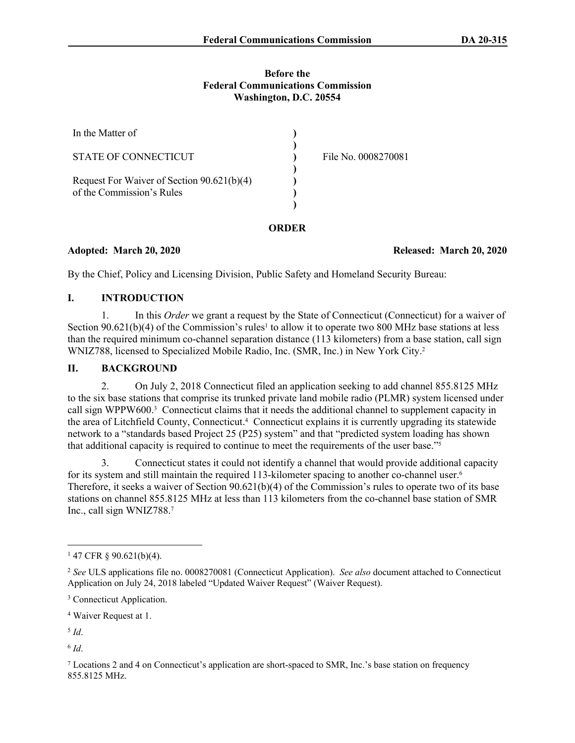### **Before the Federal Communications Commission Washington, D.C. 20554**

| In the Matter of                                                        |                     |
|-------------------------------------------------------------------------|---------------------|
| STATE OF CONNECTICUT                                                    | File No. 0008270081 |
| Request For Waiver of Section 90.621(b)(4)<br>of the Commission's Rules |                     |
|                                                                         |                     |

## **ORDER**

**Adopted: March 20, 2020 Released: March 20, 2020**

By the Chief, Policy and Licensing Division, Public Safety and Homeland Security Bureau:

## **I. INTRODUCTION**

1. In this *Order* we grant a request by the State of Connecticut (Connecticut) for a waiver of Section  $90.621(b)(4)$  of the Commission's rules<sup>1</sup> to allow it to operate two 800 MHz base stations at less than the required minimum co-channel separation distance (113 kilometers) from a base station, call sign WNIZ788, licensed to Specialized Mobile Radio, Inc. (SMR, Inc.) in New York City.<sup>2</sup>

## **II. BACKGROUND**

2. On July 2, 2018 Connecticut filed an application seeking to add channel 855.8125 MHz to the six base stations that comprise its trunked private land mobile radio (PLMR) system licensed under call sign WPPW600.<sup>3</sup> Connecticut claims that it needs the additional channel to supplement capacity in the area of Litchfield County, Connecticut.<sup>4</sup> Connecticut explains it is currently upgrading its statewide network to a "standards based Project 25 (P25) system" and that "predicted system loading has shown that additional capacity is required to continue to meet the requirements of the user base."<sup>5</sup>

3. Connecticut states it could not identify a channel that would provide additional capacity for its system and still maintain the required 113-kilometer spacing to another co-channel user.<sup>6</sup> Therefore, it seeks a waiver of Section  $90.621(b)(4)$  of the Commission's rules to operate two of its base stations on channel 855.8125 MHz at less than 113 kilometers from the co-channel base station of SMR Inc., call sign WNIZ788.<sup>7</sup>

4 Waiver Request at 1.

5 *Id*.

6 *Id*.

7 Locations 2 and 4 on Connecticut's application are short-spaced to SMR, Inc.'s base station on frequency 855.8125 MHz.

 $147$  CFR § 90.621(b)(4).

<sup>2</sup> *See* ULS applications file no. 0008270081 (Connecticut Application). *See also* document attached to Connecticut Application on July 24, 2018 labeled "Updated Waiver Request" (Waiver Request).

<sup>&</sup>lt;sup>3</sup> Connecticut Application.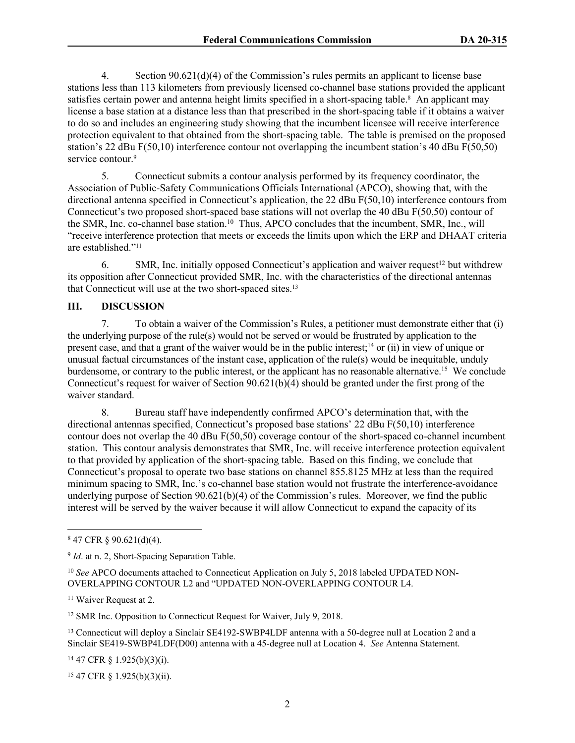4. Section 90.621(d)(4) of the Commission's rules permits an applicant to license base stations less than 113 kilometers from previously licensed co-channel base stations provided the applicant satisfies certain power and antenna height limits specified in a short-spacing table.<sup>8</sup> An applicant may license a base station at a distance less than that prescribed in the short-spacing table if it obtains a waiver to do so and includes an engineering study showing that the incumbent licensee will receive interference protection equivalent to that obtained from the short-spacing table. The table is premised on the proposed station's 22 dBu F(50,10) interference contour not overlapping the incumbent station's 40 dBu F(50,50) service contour.<sup>9</sup>

5. Connecticut submits a contour analysis performed by its frequency coordinator, the Association of Public-Safety Communications Officials International (APCO), showing that, with the directional antenna specified in Connecticut's application, the 22 dBu F(50,10) interference contours from Connecticut's two proposed short-spaced base stations will not overlap the 40 dBu F(50,50) contour of the SMR, Inc. co-channel base station.<sup>10</sup> Thus, APCO concludes that the incumbent, SMR, Inc., will "receive interference protection that meets or exceeds the limits upon which the ERP and DHAAT criteria are established."<sup>11</sup>

6. SMR, Inc. initially opposed Connecticut's application and waiver request<sup>12</sup> but withdrew its opposition after Connecticut provided SMR, Inc. with the characteristics of the directional antennas that Connecticut will use at the two short-spaced sites.<sup>13</sup>

### **III. DISCUSSION**

7. To obtain a waiver of the Commission's Rules, a petitioner must demonstrate either that (i) the underlying purpose of the rule(s) would not be served or would be frustrated by application to the present case, and that a grant of the waiver would be in the public interest;<sup>14</sup> or (ii) in view of unique or unusual factual circumstances of the instant case, application of the rule(s) would be inequitable, unduly burdensome, or contrary to the public interest, or the applicant has no reasonable alternative.<sup>15</sup> We conclude Connecticut's request for waiver of Section  $90.621(b)(4)$  should be granted under the first prong of the waiver standard.

8. Bureau staff have independently confirmed APCO's determination that, with the directional antennas specified, Connecticut's proposed base stations' 22 dBu F(50,10) interference contour does not overlap the 40 dBu F(50,50) coverage contour of the short-spaced co-channel incumbent station. This contour analysis demonstrates that SMR, Inc. will receive interference protection equivalent to that provided by application of the short-spacing table. Based on this finding, we conclude that Connecticut's proposal to operate two base stations on channel 855.8125 MHz at less than the required minimum spacing to SMR, Inc.'s co-channel base station would not frustrate the interference-avoidance underlying purpose of Section 90.621(b)(4) of the Commission's rules. Moreover, we find the public interest will be served by the waiver because it will allow Connecticut to expand the capacity of its

<sup>12</sup> SMR Inc. Opposition to Connecticut Request for Waiver, July 9, 2018.

<sup>13</sup> Connecticut will deploy a Sinclair SE4192-SWBP4LDF antenna with a 50-degree null at Location 2 and a Sinclair SE419-SWBP4LDF(D00) antenna with a 45-degree null at Location 4. *See* Antenna Statement.

<sup>14</sup> 47 CFR § 1.925(b)(3)(i).

15 47 CFR § 1.925(b)(3)(ii).

<sup>8</sup> 47 CFR § 90.621(d)(4).

<sup>&</sup>lt;sup>9</sup> *Id*. at n. 2, Short-Spacing Separation Table.

<sup>&</sup>lt;sup>10</sup> See APCO documents attached to Connecticut Application on July 5, 2018 labeled UPDATED NON-OVERLAPPING CONTOUR L2 and "UPDATED NON-OVERLAPPING CONTOUR L4.

<sup>11</sup> Waiver Request at 2.